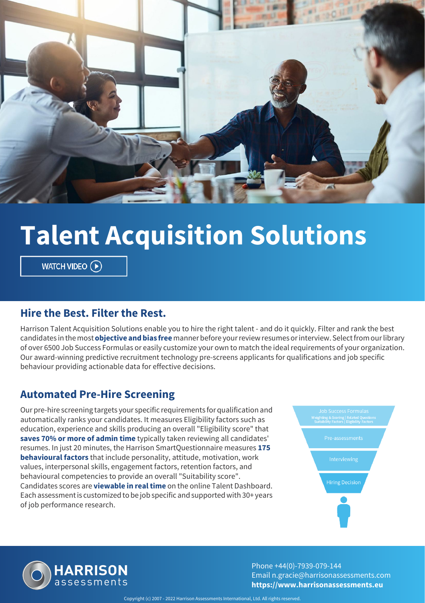

# **Talent Acquisition Solutions**

WATCH VIDEO  $\left(\widehat{\mathbf{P}}\right)$ 

#### **Hire the Best. Filter the Rest.**

Harrison Talent Acquisition Solutions enable you to hire the right talent - and do it quickly. Filter and rank the best candidates in the most **objective and bias free** manner before your review resumes or interview. Select from our library of over 6500 Job Success Formulas or easily customize your own to match the ideal requirements of your organization. Our award-winning predictive recruitment technology pre-screens applicants for qualifications and job specific behaviour providing actionable data for effective decisions.

#### **Automated Pre-Hire Screening**

Our pre-hire screening targets your specific requirements for qualification and automatically ranks your candidates. It measures Eligibility factors such as education, experience and skills producing an overall "Eligibility score" that **saves 70% or more of admin time** typically taken reviewing all candidates' resumes. In just 20 minutes, the Harrison SmartQuestionnaire measures **175 behavioural factors** that include personality, attitude, motivation, work values, interpersonal skills, engagement factors, retention factors, and behavioural competencies to provide an overall "Suitability score". Candidates scores are **viewable in real time** on the online Talent Dashboard. Each assessment is customized to be job specific and supported with 30+ years of job performance research.





Phone +44(0)-7939-079-144 Email n.gracie@harrisonassessments.com **https://www.harrisonassessments.eu**